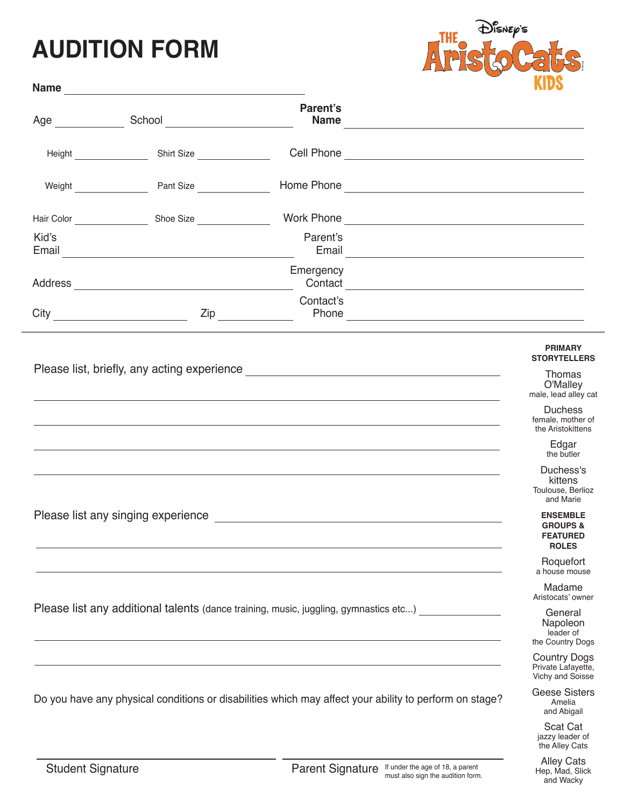## **AUDITION FORM**



|                                                                                                                                                                                                                                      |                                                                                                                       | Parent's                                                                                                                                                                                                                             |                                                               |
|--------------------------------------------------------------------------------------------------------------------------------------------------------------------------------------------------------------------------------------|-----------------------------------------------------------------------------------------------------------------------|--------------------------------------------------------------------------------------------------------------------------------------------------------------------------------------------------------------------------------------|---------------------------------------------------------------|
| Height <b>National Act of Act of Act of Act of Act of Act of Act of Act of Act of Act of Act of Act of Act of Act of Act of Act of Act of Act of Act of Act of Act of Act of Act of Act of Act of Act of Act of Act of Act of Ac</b> | Shirt Size                                                                                                            | Cell Phone <u>contract the contract of the contract of the contract of the contract of the contract of the contract of the contract of the contract of the contract of the contract of the contract of the contract of the contr</u> |                                                               |
|                                                                                                                                                                                                                                      | Weight <b>Side Pant Size</b> Pant Size                                                                                |                                                                                                                                                                                                                                      |                                                               |
|                                                                                                                                                                                                                                      |                                                                                                                       |                                                                                                                                                                                                                                      |                                                               |
| Kid's<br>Email                                                                                                                                                                                                                       | <u> 1989 - Johann Barbara, martin amerikan basar dan basa dan basar dalam basa dalam basa dalam basa dalam basa d</u> | Parent's                                                                                                                                                                                                                             |                                                               |
|                                                                                                                                                                                                                                      |                                                                                                                       | Emergency<br>Contact <u>contact</u>                                                                                                                                                                                                  |                                                               |
|                                                                                                                                                                                                                                      |                                                                                                                       | Contact's                                                                                                                                                                                                                            |                                                               |
|                                                                                                                                                                                                                                      |                                                                                                                       |                                                                                                                                                                                                                                      | <b>PRIMARY</b><br><b>STORYTELLERS</b>                         |
|                                                                                                                                                                                                                                      |                                                                                                                       | Please list, briefly, any acting experience <b>contract and all the set of the set of the set of the set of the set of the set of the set of the set of the set of the set of the set of the set of the set of the set of the se</b> | Thomas<br>O'Malley<br>male, lead alley cat                    |
|                                                                                                                                                                                                                                      |                                                                                                                       |                                                                                                                                                                                                                                      | <b>Duchess</b><br>female, mother of<br>the Aristokittens      |
|                                                                                                                                                                                                                                      |                                                                                                                       |                                                                                                                                                                                                                                      | Edgar<br>the butler                                           |
|                                                                                                                                                                                                                                      |                                                                                                                       |                                                                                                                                                                                                                                      | Duchess's<br>kittens<br>Toulouse, Berlioz<br>and Marie        |
|                                                                                                                                                                                                                                      | <b>ENSEMBLE</b><br><b>GROUPS &amp;</b><br><b>FEATURED</b><br><b>ROLES</b>                                             |                                                                                                                                                                                                                                      |                                                               |
|                                                                                                                                                                                                                                      |                                                                                                                       |                                                                                                                                                                                                                                      | Roquefort<br>a house mouse                                    |
|                                                                                                                                                                                                                                      | Madame<br>Aristocats' owner                                                                                           |                                                                                                                                                                                                                                      |                                                               |
| Please list any additional talents (dance training, music, juggling, gymnastics etc)                                                                                                                                                 | General<br>Napoleon<br>leader of<br>the Country Dogs                                                                  |                                                                                                                                                                                                                                      |                                                               |
|                                                                                                                                                                                                                                      |                                                                                                                       |                                                                                                                                                                                                                                      | <b>Country Dogs</b><br>Private Lafayette,<br>Vichy and Soisse |
| Do you have any physical conditions or disabilities which may affect your ability to perform on stage?                                                                                                                               | <b>Geese Sisters</b><br>Amelia<br>and Abigail                                                                         |                                                                                                                                                                                                                                      |                                                               |
|                                                                                                                                                                                                                                      |                                                                                                                       |                                                                                                                                                                                                                                      | Scat Cat                                                      |

jazzy leader of the Alley Cats Alley Cats Hep, Mad, Slick and Wacky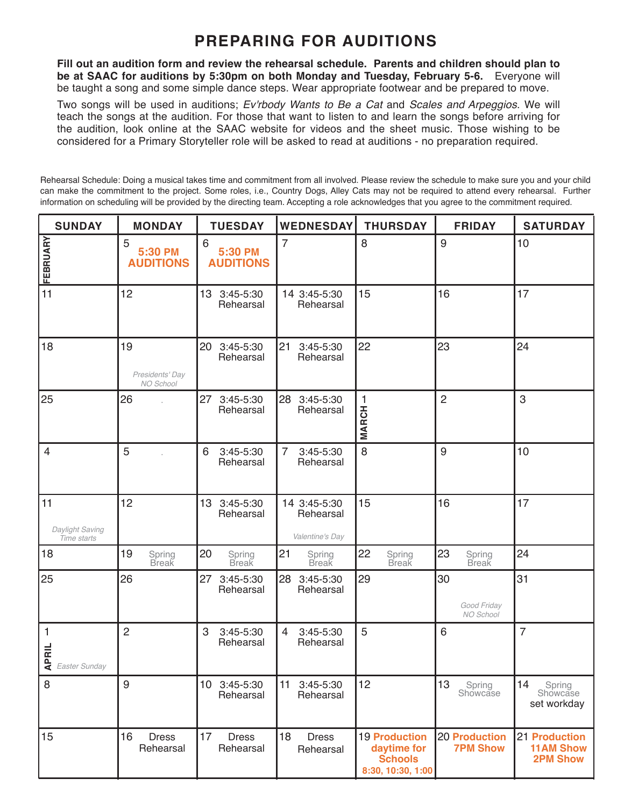## **PREPARING FOR AUDITIONS**

**Fill out an audition form and review the rehearsal schedule. Parents and children should plan to be at SAAC for auditions by 5:30pm on both Monday and Tuesday, February 5-6.** Everyone will be taught a song and some simple dance steps. Wear appropriate footwear and be prepared to move.

Two songs will be used in auditions; *Ev'rbody Wants to Be a Cat* and *Scales and Arpeggios*. We will teach the songs at the audition. For those that want to listen to and learn the songs before arriving for the audition, look online at the SAAC website for videos and the sheet music. Those wishing to be considered for a Primary Storyteller role will be asked to read at auditions - no preparation required.

Rehearsal Schedule: Doing a musical takes time and commitment from all involved. Please review the schedule to make sure you and your child can make the commitment to the project. Some roles, i.e., Country Dogs, Alley Cats may not be required to attend every rehearsal. Further information on scheduling will be provided by the directing team. Accepting a role acknowledges that you agree to the commitment required.

| <b>SUNDAY</b>                        | <b>MONDAY</b>                      | <b>TUESDAY</b>                                 | <b>WEDNESDAY</b>                             | <b>THURSDAY</b>                                                            | <b>FRIDAY</b>                           | <b>SATURDAY</b>                                      |
|--------------------------------------|------------------------------------|------------------------------------------------|----------------------------------------------|----------------------------------------------------------------------------|-----------------------------------------|------------------------------------------------------|
| FEBRUARY                             | 5<br>5:30 PM<br><b>AUDITIONS</b>   | $6\phantom{1}6$<br>5:30 PM<br><b>AUDITIONS</b> | $\overline{7}$                               | 8                                                                          | 9                                       | 10                                                   |
| 11                                   | 12                                 | 13 3:45-5:30<br>Rehearsal                      | 14 3:45-5:30<br>Rehearsal                    | 15                                                                         | 16                                      | 17                                                   |
| 18                                   | 19<br>Presidents' Day<br>NO School | 20 3:45-5:30<br>Rehearsal                      | 21<br>3:45-5:30<br>Rehearsal                 | 22                                                                         | 23                                      | 24                                                   |
| 25                                   | 26                                 | 27<br>3:45-5:30<br>Rehearsal                   | 28<br>3:45-5:30<br>Rehearsal                 | 1<br><b>MARCH</b>                                                          | $\overline{2}$                          | 3                                                    |
| $\overline{4}$                       | 5                                  | 6<br>$3:45 - 5:30$<br>Rehearsal                | $\overline{7}$<br>3:45-5:30<br>Rehearsal     | 8                                                                          | 9                                       | 10                                                   |
| 11<br>Daylight Saving<br>Time starts | 12                                 | 13 <sup>°</sup><br>3:45-5:30<br>Rehearsal      | 14 3:45-5:30<br>Rehearsal<br>Valentine's Day | 15                                                                         | 16                                      | 17                                                   |
| 18                                   | 19<br>Spring<br>Break              | 20<br>Spring<br><b>Break</b>                   | 21<br>Spring<br>Break                        | 22<br>Spring<br>Break                                                      | 23<br>Spring<br>Break                   | 24                                                   |
| 25                                   | 26                                 | 27<br>3:45-5:30<br>Rehearsal                   | 28<br>3:45-5:30<br>Rehearsal                 | 29                                                                         | 30<br>Good Friday<br>NO School          | 31                                                   |
| 1<br>$\frac{d}{dt}$ Easter Sunday    | $\overline{2}$                     | 3<br>3:45-5:30<br>Rehearsal                    | 3:45-5:30<br>$\overline{4}$<br>Rehearsal     | 5                                                                          | 6                                       | $\overline{7}$                                       |
| 8                                    | 9                                  | 10 3:45-5:30<br>Rehearsal                      | 11<br>3:45-5:30<br>Rehearsal                 | 12                                                                         | 13<br>Spring<br>Showcase                | 14<br>Spring<br>Showcase<br>set workday              |
| 15                                   | 16<br><b>Dress</b><br>Rehearsal    | 17<br><b>Dress</b><br>Rehearsal                | 18<br><b>Dress</b><br>Rehearsal              | <b>19 Production</b><br>daytime for<br><b>Schools</b><br>8:30, 10:30, 1:00 | <b>20 Production</b><br><b>7PM Show</b> | 21 Production<br><b>11AM Show</b><br><b>2PM Show</b> |